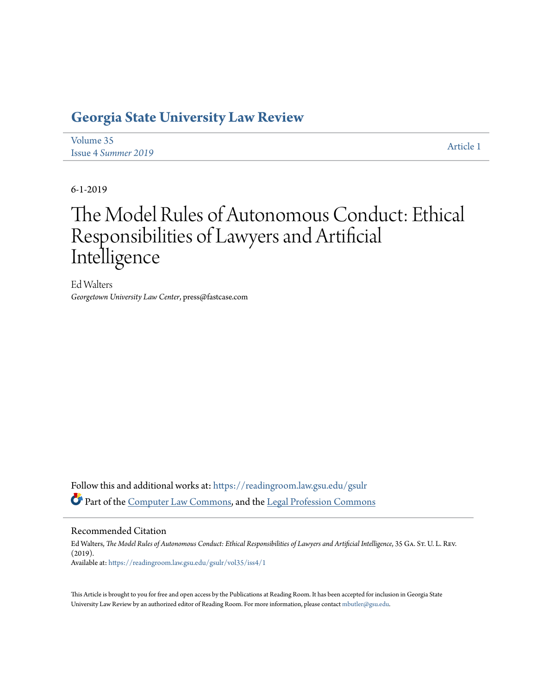# **[Georgia State University Law Review](https://readingroom.law.gsu.edu/gsulr?utm_source=readingroom.law.gsu.edu%2Fgsulr%2Fvol35%2Fiss4%2F1&utm_medium=PDF&utm_campaign=PDFCoverPages)**

| Volume 35                  | Article 1 |
|----------------------------|-----------|
| <b>Issue 4 Summer 2019</b> |           |

6-1-2019

# The Model Rules of Autonomous Conduct: Ethical Responsibilities of Lawyers and Artificial Intelligence

Ed Walters *Georgetown University Law Center*, press@fastcase.com

Follow this and additional works at: [https://readingroom.law.gsu.edu/gsulr](https://readingroom.law.gsu.edu/gsulr?utm_source=readingroom.law.gsu.edu%2Fgsulr%2Fvol35%2Fiss4%2F1&utm_medium=PDF&utm_campaign=PDFCoverPages) Part of the [Computer Law Commons,](http://network.bepress.com/hgg/discipline/837?utm_source=readingroom.law.gsu.edu%2Fgsulr%2Fvol35%2Fiss4%2F1&utm_medium=PDF&utm_campaign=PDFCoverPages) and the [Legal Profession Commons](http://network.bepress.com/hgg/discipline/1075?utm_source=readingroom.law.gsu.edu%2Fgsulr%2Fvol35%2Fiss4%2F1&utm_medium=PDF&utm_campaign=PDFCoverPages)

## Recommended Citation

Ed Walters, *The Model Rules of Autonomous Conduct: Ethical Responsibilities of Lawyers and Artificial Intelligence*, 35 GA. St. U. L. Rev. (2019). Available at: [https://readingroom.law.gsu.edu/gsulr/vol35/iss4/1](https://readingroom.law.gsu.edu/gsulr/vol35/iss4/1?utm_source=readingroom.law.gsu.edu%2Fgsulr%2Fvol35%2Fiss4%2F1&utm_medium=PDF&utm_campaign=PDFCoverPages)

This Article is brought to you for free and open access by the Publications at Reading Room. It has been accepted for inclusion in Georgia State University Law Review by an authorized editor of Reading Room. For more information, please contact [mbutler@gsu.edu.](mailto:mbutler@gsu.edu)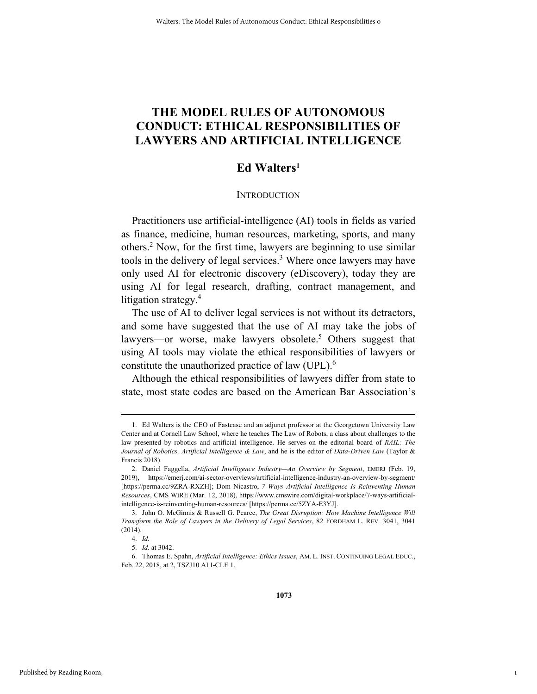# **THE MODEL RULES OF AUTONOMOUS CONDUCT: ETHICAL RESPONSIBILITIES OF LAWYERS AND ARTIFICIAL INTELLIGENCE**

# **Ed Walters1**

#### **INTRODUCTION**

Practitioners use artificial-intelligence (AI) tools in fields as varied as finance, medicine, human resources, marketing, sports, and many others.2 Now, for the first time, lawyers are beginning to use similar tools in the delivery of legal services.<sup>3</sup> Where once lawyers may have only used AI for electronic discovery (eDiscovery), today they are using AI for legal research, drafting, contract management, and litigation strategy.<sup>4</sup>

The use of AI to deliver legal services is not without its detractors, and some have suggested that the use of AI may take the jobs of lawyers—or worse, make lawyers obsolete.<sup>5</sup> Others suggest that using AI tools may violate the ethical responsibilities of lawyers or constitute the unauthorized practice of law (UPL).6

Although the ethical responsibilities of lawyers differ from state to state, most state codes are based on the American Bar Association's

1

 <sup>1.</sup> Ed Walters is the CEO of Fastcase and an adjunct professor at the Georgetown University Law Center and at Cornell Law School, where he teaches The Law of Robots, a class about challenges to the law presented by robotics and artificial intelligence. He serves on the editorial board of *RAIL: The Journal of Robotics, Artificial Intelligence & Law*, and he is the editor of *Data-Driven Law* (Taylor & Francis 2018).

 <sup>2.</sup> Daniel Faggella, *Artificial Intelligence Industry—An Overview by Segment*, EMERJ (Feb. 19, 2019), https://emerj.com/ai-sector-overviews/artificial-intelligence-industry-an-overview-by-segment/ [https://perma.cc/9ZRA-RXZH]; Dom Nicastro, *7 Ways Artificial Intelligence Is Reinventing Human Resources*, CMS WIRE (Mar. 12, 2018), https://www.cmswire.com/digital-workplace/7-ways-artificialintelligence-is-reinventing-human-resources/ [https://perma.cc/5ZYA-E3YJ].

 <sup>3.</sup> John O. McGinnis & Russell G. Pearce, *The Great Disruption: How Machine Intelligence Will Transform the Role of Lawyers in the Delivery of Legal Services*, 82 FORDHAM L. REV. 3041, 3041 (2014).

 <sup>4.</sup> *Id.* 

 <sup>5.</sup> *Id.* at 3042.

 <sup>6.</sup> Thomas E. Spahn, *Artificial Intelligence: Ethics Issues*, AM. L. INST. CONTINUING LEGAL EDUC., Feb. 22, 2018, at 2, TSZJ10 ALI-CLE 1.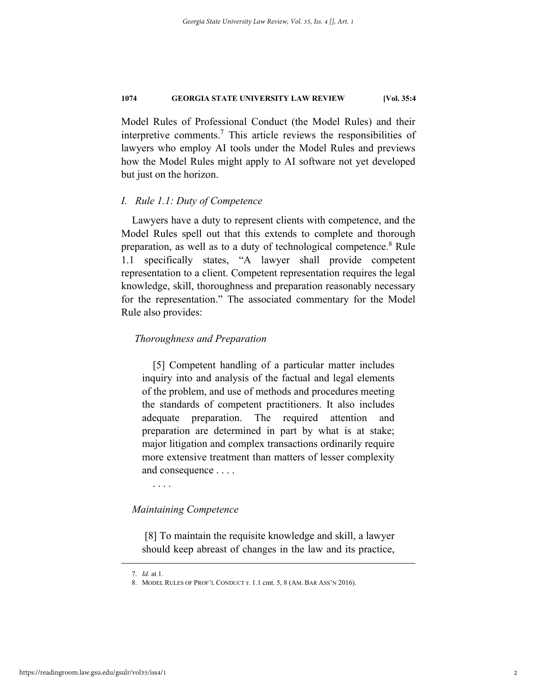Model Rules of Professional Conduct (the Model Rules) and their interpretive comments.<sup>7</sup> This article reviews the responsibilities of lawyers who employ AI tools under the Model Rules and previews how the Model Rules might apply to AI software not yet developed but just on the horizon.

#### *I. Rule 1.1: Duty of Competence*

Lawyers have a duty to represent clients with competence, and the Model Rules spell out that this extends to complete and thorough preparation, as well as to a duty of technological competence.<sup>8</sup> Rule 1.1 specifically states, "A lawyer shall provide competent representation to a client. Competent representation requires the legal knowledge, skill, thoroughness and preparation reasonably necessary for the representation." The associated commentary for the Model Rule also provides:

#### *Thoroughness and Preparation*

[5] Competent handling of a particular matter includes inquiry into and analysis of the factual and legal elements of the problem, and use of methods and procedures meeting the standards of competent practitioners. It also includes adequate preparation. The required attention and preparation are determined in part by what is at stake; major litigation and complex transactions ordinarily require more extensive treatment than matters of lesser complexity and consequence . . . .

. . . .

#### *Maintaining Competence*

 [8] To maintain the requisite knowledge and skill, a lawyer should keep abreast of changes in the law and its practice,

 <sup>7.</sup> *Id.* at 1.

 <sup>8.</sup> MODEL RULES OF PROF'L CONDUCT r. 1.1 cmt. 5, 8 (AM. BAR ASS'N 2016).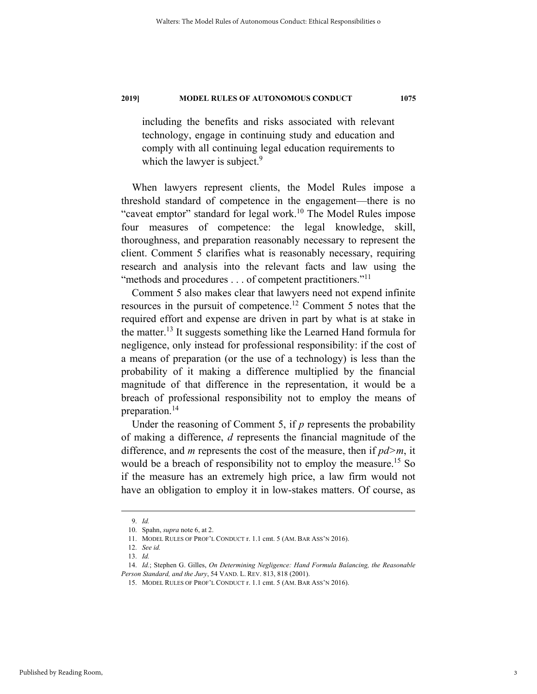including the benefits and risks associated with relevant technology, engage in continuing study and education and comply with all continuing legal education requirements to which the lawyer is subject.<sup>9</sup>

When lawyers represent clients, the Model Rules impose a threshold standard of competence in the engagement—there is no "caveat emptor" standard for legal work.<sup>10</sup> The Model Rules impose four measures of competence: the legal knowledge, skill, thoroughness, and preparation reasonably necessary to represent the client. Comment 5 clarifies what is reasonably necessary, requiring research and analysis into the relevant facts and law using the "methods and procedures . . . of competent practitioners."<sup>11</sup>

Comment 5 also makes clear that lawyers need not expend infinite resources in the pursuit of competence.12 Comment 5 notes that the required effort and expense are driven in part by what is at stake in the matter.13 It suggests something like the Learned Hand formula for negligence, only instead for professional responsibility: if the cost of a means of preparation (or the use of a technology) is less than the probability of it making a difference multiplied by the financial magnitude of that difference in the representation, it would be a breach of professional responsibility not to employ the means of preparation.14

Under the reasoning of Comment 5, if *p* represents the probability of making a difference, *d* represents the financial magnitude of the difference, and *m* represents the cost of the measure, then if *pd>m*, it would be a breach of responsibility not to employ the measure.<sup>15</sup> So if the measure has an extremely high price, a law firm would not have an obligation to employ it in low-stakes matters. Of course, as

 <sup>9.</sup> *Id.* 

 <sup>10.</sup> Spahn, *supra* note 6, at 2.

 <sup>11.</sup> MODEL RULES OF PROF'L CONDUCT r. 1.1 cmt. 5 (AM. BAR ASS'N 2016).

 <sup>12.</sup> *See id.*

 <sup>13.</sup> *Id.* 

 <sup>14.</sup> *Id.*; Stephen G. Gilles, *On Determining Negligence: Hand Formula Balancing, the Reasonable Person Standard, and the Jury*, 54 VAND. L. REV. 813, 818 (2001).

 <sup>15.</sup> MODEL RULES OF PROF'L CONDUCT r. 1.1 cmt. 5 (AM. BAR ASS'N 2016).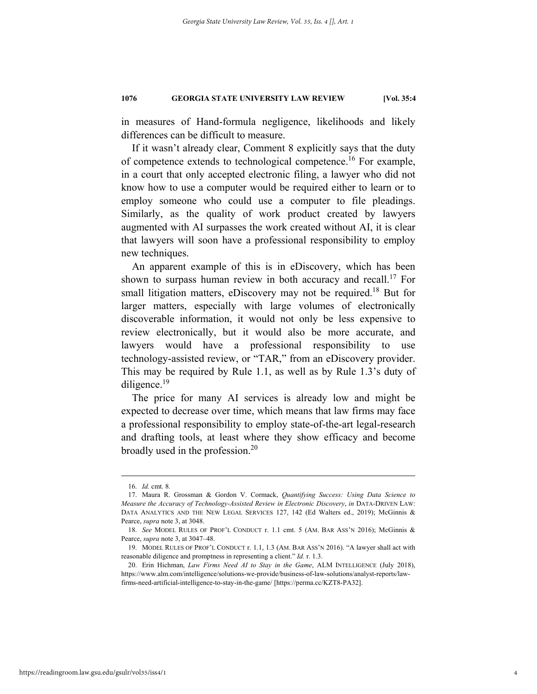in measures of Hand-formula negligence, likelihoods and likely differences can be difficult to measure.

If it wasn't already clear, Comment 8 explicitly says that the duty of competence extends to technological competence.16 For example, in a court that only accepted electronic filing, a lawyer who did not know how to use a computer would be required either to learn or to employ someone who could use a computer to file pleadings. Similarly, as the quality of work product created by lawyers augmented with AI surpasses the work created without AI, it is clear that lawyers will soon have a professional responsibility to employ new techniques.

An apparent example of this is in eDiscovery, which has been shown to surpass human review in both accuracy and recall.17 For small litigation matters, eDiscovery may not be required.<sup>18</sup> But for larger matters, especially with large volumes of electronically discoverable information, it would not only be less expensive to review electronically, but it would also be more accurate, and lawyers would have a professional responsibility to use technology-assisted review, or "TAR," from an eDiscovery provider. This may be required by Rule 1.1, as well as by Rule 1.3's duty of diligence.<sup>19</sup>

The price for many AI services is already low and might be expected to decrease over time, which means that law firms may face a professional responsibility to employ state-of-the-art legal-research and drafting tools, at least where they show efficacy and become broadly used in the profession.<sup>20</sup>

 <sup>16.</sup> *Id.* cmt. 8*.* 

 <sup>17.</sup> Maura R. Grossman & Gordon V. Cormack, *Quantifying Success: Using Data Science to Measure the Accuracy of Technology-Assisted Review in Electronic Discovery*, *in* DATA-DRIVEN LAW: DATA ANALYTICS AND THE NEW LEGAL SERVICES 127, 142 (Ed Walters ed., 2019); McGinnis & Pearce, *supra* note 3, at 3048.

 <sup>18.</sup> *See* MODEL RULES OF PROF'L CONDUCT r. 1.1 cmt. 5 (AM. BAR ASS'N 2016); McGinnis & Pearce, *supra* note 3, at 3047–48.

 <sup>19.</sup> MODEL RULES OF PROF'L CONDUCT r. 1.1, 1.3 (AM. BAR ASS'N 2016). "A lawyer shall act with reasonable diligence and promptness in representing a client." *Id.* r. 1.3.

 <sup>20.</sup> Erin Hichman, *Law Firms Need AI to Stay in the Game*, ALM INTELLIGENCE (July 2018), https://www.alm.com/intelligence/solutions-we-provide/business-of-law-solutions/analyst-reports/lawfirms-need-artificial-intelligence-to-stay-in-the-game/ [https://perma.cc/KZT8-PA32].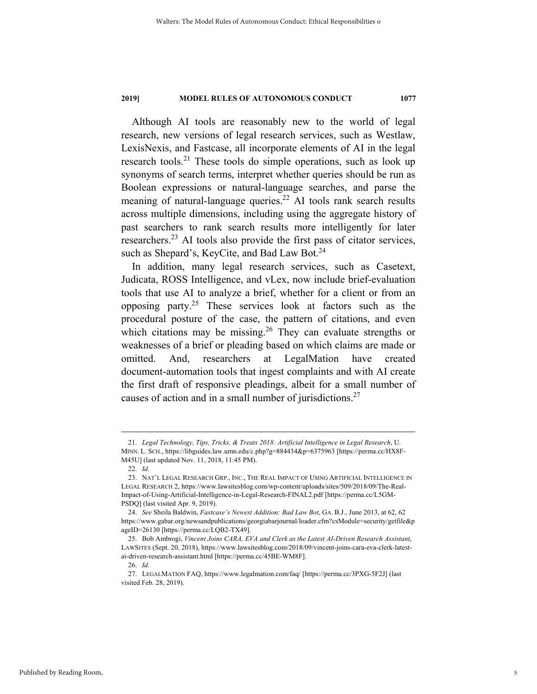Although AI tools are reasonably new to the world of legal research, new versions of legal research services, such as Westlaw, LexisNexis, and Fastcase, all incorporate elements of AI in the legal research tools.<sup>21</sup> These tools do simple operations, such as look up synonyms of search terms, interpret whether queries should be run as Boolean expressions or natural-language searches, and parse the meaning of natural-language queries.<sup>22</sup> AI tools rank search results across multiple dimensions, including using the aggregate history of past searchers to rank search results more intelligently for later researchers.23 AI tools also provide the first pass of citator services, such as Shepard's, KeyCite, and Bad Law Bot.<sup>24</sup>

In addition, many legal research services, such as Casetext, Judicata, ROSS Intelligence, and vLex, now include brief-evaluation tools that use AI to analyze a brief, whether for a client or from an opposing party.<sup>25</sup> These services look at factors such as the procedural posture of the case, the pattern of citations, and even which citations may be missing.<sup>26</sup> They can evaluate strengths or weaknesses of a brief or pleading based on which claims are made or omitted. And, researchers at LegalMation have created document-automation tools that ingest complaints and with AI create the first draft of responsive pleadings, albeit for a small number of causes of action and in a small number of jurisdictions.27

 <sup>21.</sup> *Legal Technology, Tips, Tricks, & Treats 2018: Artificial Intelligence in Legal Research*, U. MINN. L. SCH., https://libguides.law.umn.edu/c.php?g=884434&p=6375963 [https://perma.cc/HX8F-M45U] (last updated Nov. 11, 2018, 11:45 PM).

 <sup>22.</sup> *Id.* 

 <sup>23.</sup> NAT'L LEGAL RESEARCH GRP., INC., THE REAL IMPACT OF USING ARTIFICIAL INTELLIGENCE IN LEGAL RESEARCH 2, https://www.lawsitesblog.com/wp-content/uploads/sites/509/2018/09/The-Real-Impact-of-Using-Artificial-Intelligence-in-Legal-Research-FINAL2.pdf [https://perma.cc/L5GM-PSDQ] (last visited Apr. 9, 2019).

 <sup>24.</sup> *See* Sheila Baldwin, *Fastcase's Newest Addition: Bad Law Bot*, GA. B.J., June 2013, at 62, 62 https://www.gabar.org/newsandpublications/georgiabarjournal/loader.cfm?csModule=security/getfile&p ageID=26130 [https://perma.cc/LQB2-TX49].

 <sup>25.</sup> Bob Ambrogi, *Vincent Joins CARA, EVA and Clerk as the Latest AI-Driven Research Assistant*, LAWSITES (Sept. 20, 2018), https://www.lawsitesblog.com/2018/09/vincent-joins-cara-eva-clerk-latestai-driven-research-assistant.html [https://perma.cc/45BE-WM8F].

 <sup>26.</sup> *Id.*

 <sup>27.</sup> LEGALMATION FAQ, https://www.legalmation.com/faq/ [https://perma.cc/3PXG-5F2J] (last visited Feb. 28, 2019).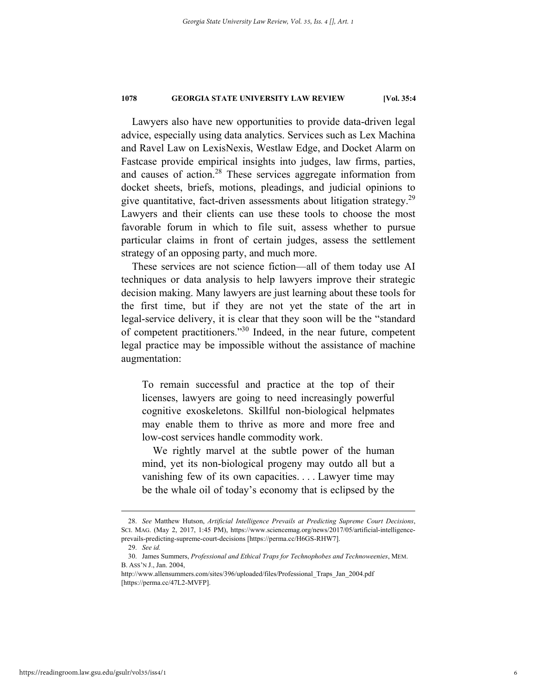Lawyers also have new opportunities to provide data-driven legal advice, especially using data analytics. Services such as Lex Machina and Ravel Law on LexisNexis, Westlaw Edge, and Docket Alarm on Fastcase provide empirical insights into judges, law firms, parties, and causes of action.<sup>28</sup> These services aggregate information from docket sheets, briefs, motions, pleadings, and judicial opinions to give quantitative, fact-driven assessments about litigation strategy. $29$ Lawyers and their clients can use these tools to choose the most favorable forum in which to file suit, assess whether to pursue particular claims in front of certain judges, assess the settlement strategy of an opposing party, and much more.

These services are not science fiction—all of them today use AI techniques or data analysis to help lawyers improve their strategic decision making. Many lawyers are just learning about these tools for the first time, but if they are not yet the state of the art in legal-service delivery, it is clear that they soon will be the "standard of competent practitioners."30 Indeed, in the near future, competent legal practice may be impossible without the assistance of machine augmentation:

To remain successful and practice at the top of their licenses, lawyers are going to need increasingly powerful cognitive exoskeletons. Skillful non-biological helpmates may enable them to thrive as more and more free and low-cost services handle commodity work.

We rightly marvel at the subtle power of the human mind, yet its non-biological progeny may outdo all but a vanishing few of its own capacities. . . . Lawyer time may be the whale oil of today's economy that is eclipsed by the

 <sup>28.</sup> *See* Matthew Hutson, *Artificial Intelligence Prevails at Predicting Supreme Court Decisions*, SCI. MAG. (May 2, 2017, 1:45 PM), https://www.sciencemag.org/news/2017/05/artificial-intelligenceprevails-predicting-supreme-court-decisions [https://perma.cc/H6GS-RHW7].

 <sup>29.</sup> *See id.*

 <sup>30.</sup> James Summers, *Professional and Ethical Traps for Technophobes and Technoweenies*, MEM. B. ASS'N J., Jan. 2004,

http://www.allensummers.com/sites/396/uploaded/files/Professional\_Traps\_Jan\_2004.pdf [https://perma.cc/47L2-MVFP].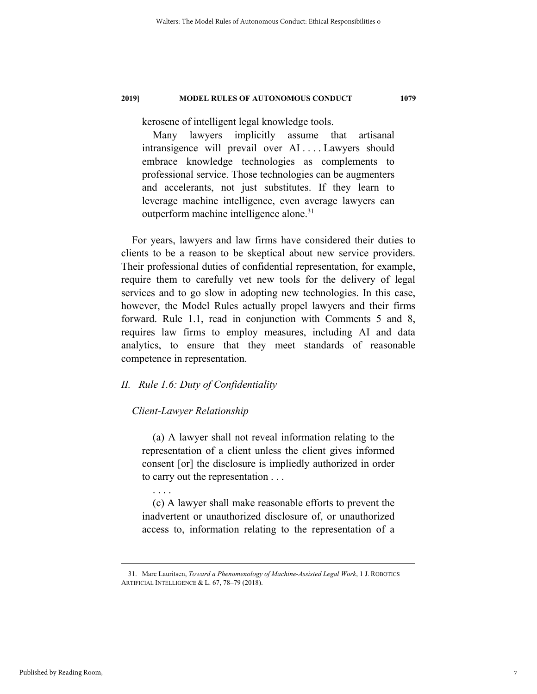kerosene of intelligent legal knowledge tools.

Many lawyers implicitly assume that artisanal intransigence will prevail over AI . . . . Lawyers should embrace knowledge technologies as complements to professional service. Those technologies can be augmenters and accelerants, not just substitutes. If they learn to leverage machine intelligence, even average lawyers can outperform machine intelligence alone.<sup>31</sup>

For years, lawyers and law firms have considered their duties to clients to be a reason to be skeptical about new service providers. Their professional duties of confidential representation, for example, require them to carefully vet new tools for the delivery of legal services and to go slow in adopting new technologies. In this case, however, the Model Rules actually propel lawyers and their firms forward. Rule 1.1, read in conjunction with Comments 5 and 8, requires law firms to employ measures, including AI and data analytics, to ensure that they meet standards of reasonable competence in representation.

### *II. Rule 1.6: Duty of Confidentiality*

#### *Client-Lawyer Relationship*

(a) A lawyer shall not reveal information relating to the representation of a client unless the client gives informed consent [or] the disclosure is impliedly authorized in order to carry out the representation . . .

. . . .

(c) A lawyer shall make reasonable efforts to prevent the inadvertent or unauthorized disclosure of, or unauthorized access to, information relating to the representation of a

 <sup>31.</sup> Marc Lauritsen, *Toward a Phenomenology of Machine-Assisted Legal Work*, 1 J. ROBOTICS ARTIFICIAL INTELLIGENCE & L. 67, 78–79 (2018).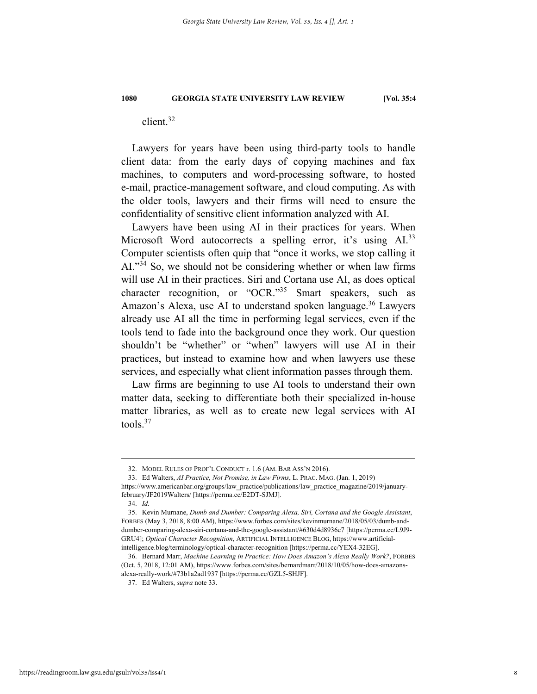client.32

Lawyers for years have been using third-party tools to handle client data: from the early days of copying machines and fax machines, to computers and word-processing software, to hosted e-mail, practice-management software, and cloud computing. As with the older tools, lawyers and their firms will need to ensure the confidentiality of sensitive client information analyzed with AI.

Lawyers have been using AI in their practices for years. When Microsoft Word autocorrects a spelling error, it's using  $AI^{33}$ Computer scientists often quip that "once it works, we stop calling it AI."<sup>34</sup> So, we should not be considering whether or when law firms will use AI in their practices. Siri and Cortana use AI, as does optical character recognition, or "OCR."35 Smart speakers, such as Amazon's Alexa, use AI to understand spoken language.<sup>36</sup> Lawyers already use AI all the time in performing legal services, even if the tools tend to fade into the background once they work. Our question shouldn't be "whether" or "when" lawyers will use AI in their practices, but instead to examine how and when lawyers use these services, and especially what client information passes through them.

Law firms are beginning to use AI tools to understand their own matter data, seeking to differentiate both their specialized in-house matter libraries, as well as to create new legal services with AI tools.37

 33. Ed Walters, *AI Practice, Not Promise, in Law Firms*, L. PRAC. MAG. (Jan. 1, 2019) https://www.americanbar.org/groups/law\_practice/publications/law\_practice\_magazine/2019/januaryfebruary/JF2019Walters/ [https://perma.cc/E2DT-SJMJ].

 <sup>32.</sup> MODEL RULES OF PROF'L CONDUCT r. 1.6 (AM. BAR ASS'N 2016).

 <sup>34.</sup> *Id.*

 <sup>35.</sup> Kevin Murnane, *Dumb and Dumber: Comparing Alexa, Siri, Cortana and the Google Assistant*, FORBES (May 3, 2018, 8:00 AM), https://www.forbes.com/sites/kevinmurnane/2018/05/03/dumb-anddumber-comparing-alexa-siri-cortana-and-the-google-assistant/#630d4d8936e7 [https://perma.cc/L9J9- GRU4]; *Optical Character Recognition*, ARTIFICIAL INTELLIGENCE BLOG, https://www.artificialintelligence.blog/terminology/optical-character-recognition [https://perma.cc/YEX4-32EG].

 <sup>36.</sup> Bernard Marr, *Machine Learning in Practice: How Does Amazon's Alexa Really Work?*, FORBES (Oct. 5, 2018, 12:01 AM), https://www.forbes.com/sites/bernardmarr/2018/10/05/how-does-amazonsalexa-really-work/#73b1a2ad1937 [https://perma.cc/GZL5-SHJF].

 <sup>37.</sup> Ed Walters, *supra* note 33.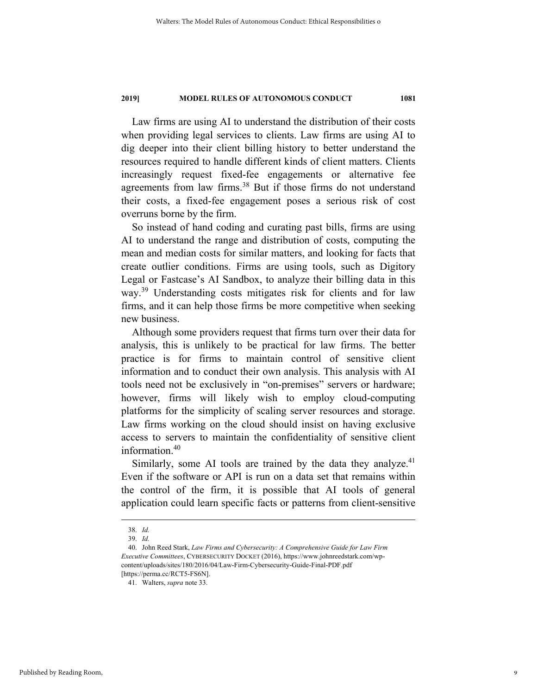Law firms are using AI to understand the distribution of their costs when providing legal services to clients. Law firms are using AI to dig deeper into their client billing history to better understand the resources required to handle different kinds of client matters. Clients increasingly request fixed-fee engagements or alternative fee agreements from law firms.<sup>38</sup> But if those firms do not understand their costs, a fixed-fee engagement poses a serious risk of cost overruns borne by the firm.

So instead of hand coding and curating past bills, firms are using AI to understand the range and distribution of costs, computing the mean and median costs for similar matters, and looking for facts that create outlier conditions. Firms are using tools, such as Digitory Legal or Fastcase's AI Sandbox, to analyze their billing data in this way.<sup>39</sup> Understanding costs mitigates risk for clients and for law firms, and it can help those firms be more competitive when seeking new business.

Although some providers request that firms turn over their data for analysis, this is unlikely to be practical for law firms. The better practice is for firms to maintain control of sensitive client information and to conduct their own analysis. This analysis with AI tools need not be exclusively in "on-premises" servers or hardware; however, firms will likely wish to employ cloud-computing platforms for the simplicity of scaling server resources and storage. Law firms working on the cloud should insist on having exclusive access to servers to maintain the confidentiality of sensitive client information.<sup>40</sup>

Similarly, some AI tools are trained by the data they analyze.<sup>41</sup> Even if the software or API is run on a data set that remains within the control of the firm, it is possible that AI tools of general application could learn specific facts or patterns from client-sensitive

 <sup>38.</sup> *Id.*

 <sup>39.</sup> *Id.* 

 <sup>40.</sup> John Reed Stark, *Law Firms and Cybersecurity: A Comprehensive Guide for Law Firm Executive Committees*, CYBERSECURITY DOCKET (2016), https://www.johnreedstark.com/wpcontent/uploads/sites/180/2016/04/Law-Firm-Cybersecurity-Guide-Final-PDF.pdf [https://perma.cc/RCT5-FS6N].

 <sup>41.</sup> Walters, *supra* note 33.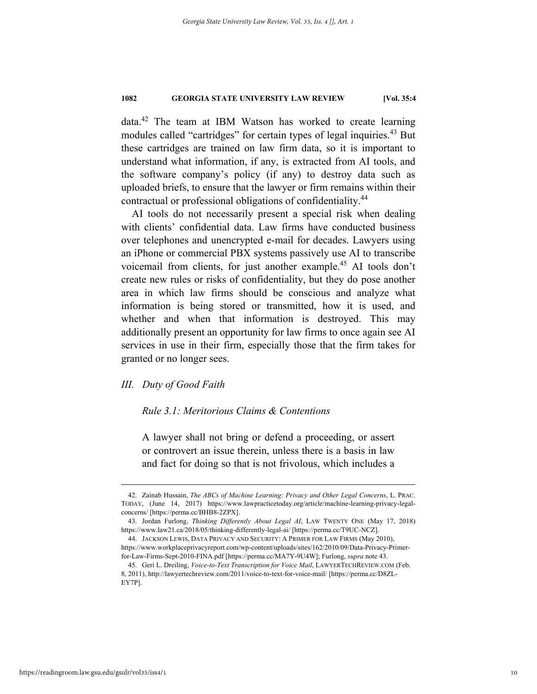data.42 The team at IBM Watson has worked to create learning modules called "cartridges" for certain types of legal inquiries.<sup>43</sup> But these cartridges are trained on law firm data, so it is important to understand what information, if any, is extracted from AI tools, and the software company's policy (if any) to destroy data such as uploaded briefs, to ensure that the lawyer or firm remains within their contractual or professional obligations of confidentiality.<sup>44</sup>

AI tools do not necessarily present a special risk when dealing with clients' confidential data. Law firms have conducted business over telephones and unencrypted e-mail for decades. Lawyers using an iPhone or commercial PBX systems passively use AI to transcribe voicemail from clients, for just another example.45 AI tools don't create new rules or risks of confidentiality, but they do pose another area in which law firms should be conscious and analyze what information is being stored or transmitted, how it is used, and whether and when that information is destroyed. This may additionally present an opportunity for law firms to once again see AI services in use in their firm, especially those that the firm takes for granted or no longer sees.

#### *III. Duty of Good Faith*

#### *Rule 3.1: Meritorious Claims & Contentions*

A lawyer shall not bring or defend a proceeding, or assert or controvert an issue therein, unless there is a basis in law and fact for doing so that is not frivolous, which includes a

 <sup>42.</sup> Zainab Hussain, *The ABCs of Machine Learning: Privacy and Other Legal Concerns*, L. PRAC. TODAY, (June 14, 2017) https://www.lawpracticetoday.org/article/machine-learning-privacy-legalconcerns/ [https://perma.cc/BHB8-2ZPX].

 <sup>43.</sup> Jordan Furlong, *Thinking Differently About Legal AI*, LAW TWENTY ONE (May 17, 2018) https://www.law21.ca/2018/05/thinking-differently-legal-ai/ [https://perma.cc/T9UC-NCZ].

 <sup>44.</sup> JACKSON LEWIS, DATA PRIVACY AND SECURITY: A PRIMER FOR LAW FIRMS (May 2010), https://www.workplaceprivacyreport.com/wp-content/uploads/sites/162/2010/09/Data-Privacy-Primerfor-Law-Firms-Sept-2010-FINA.pdf [https://perma.cc/MA7Y-9U4W]; Furlong, *supra* note 43.

 <sup>45.</sup> Geri L. Dreiling, *Voice-to-Text Transcription for Voice Mail*, LAWYERTECHREVIEW.COM (Feb. 8, 2011), http://lawyertechreview.com/2011/voice-to-text-for-voice-mail/ [https://perma.cc/D8ZL-EY7P].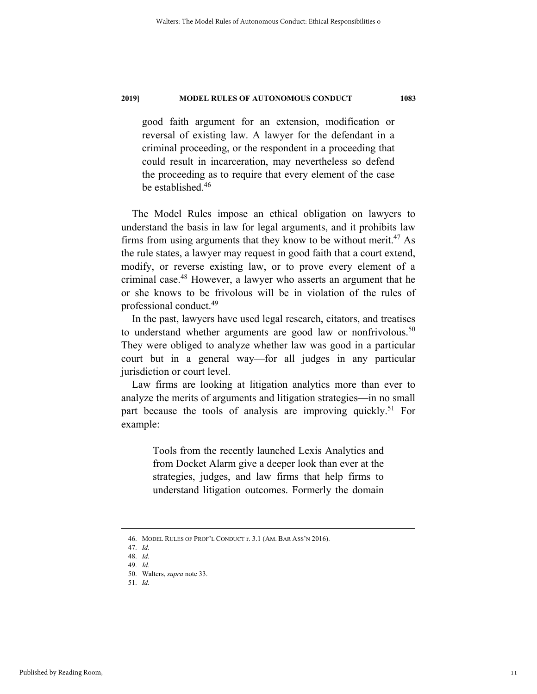good faith argument for an extension, modification or reversal of existing law. A lawyer for the defendant in a criminal proceeding, or the respondent in a proceeding that could result in incarceration, may nevertheless so defend the proceeding as to require that every element of the case be established.<sup>46</sup>

The Model Rules impose an ethical obligation on lawyers to understand the basis in law for legal arguments, and it prohibits law firms from using arguments that they know to be without merit.<sup>47</sup> As the rule states, a lawyer may request in good faith that a court extend, modify, or reverse existing law, or to prove every element of a criminal case.48 However, a lawyer who asserts an argument that he or she knows to be frivolous will be in violation of the rules of professional conduct.49

In the past, lawyers have used legal research, citators, and treatises to understand whether arguments are good law or nonfrivolous.<sup>50</sup> They were obliged to analyze whether law was good in a particular court but in a general way—for all judges in any particular jurisdiction or court level.

Law firms are looking at litigation analytics more than ever to analyze the merits of arguments and litigation strategies—in no small part because the tools of analysis are improving quickly.<sup>51</sup> For example:

> Tools from the recently launched Lexis Analytics and from Docket Alarm give a deeper look than ever at the strategies, judges, and law firms that help firms to understand litigation outcomes. Formerly the domain

 <sup>46.</sup> MODEL RULES OF PROF'L CONDUCT r. 3.1 (AM. BAR ASS'N 2016).

 <sup>47.</sup> *Id.* 

 <sup>48.</sup> *Id.*  49. *Id.*

 <sup>50.</sup> Walters, *supra* note 33.

 <sup>51.</sup> *Id.*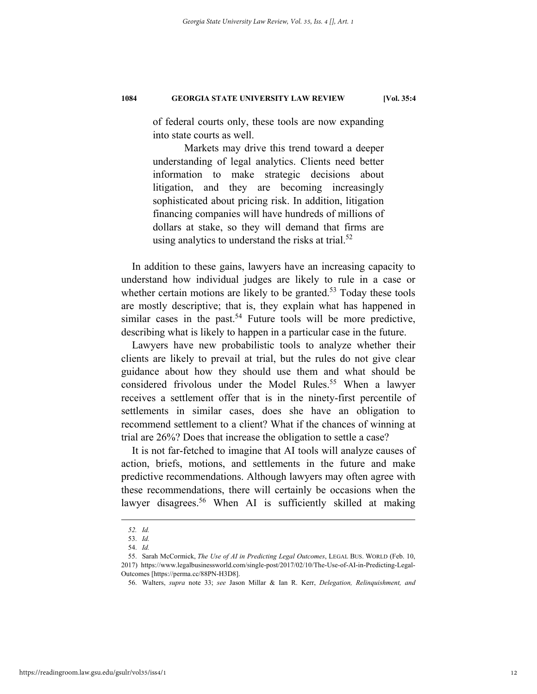of federal courts only, these tools are now expanding into state courts as well.

Markets may drive this trend toward a deeper understanding of legal analytics. Clients need better information to make strategic decisions about litigation, and they are becoming increasingly sophisticated about pricing risk. In addition, litigation financing companies will have hundreds of millions of dollars at stake, so they will demand that firms are using analytics to understand the risks at trial. $52$ 

In addition to these gains, lawyers have an increasing capacity to understand how individual judges are likely to rule in a case or whether certain motions are likely to be granted.<sup>53</sup> Today these tools are mostly descriptive; that is, they explain what has happened in similar cases in the past.<sup>54</sup> Future tools will be more predictive, describing what is likely to happen in a particular case in the future.

Lawyers have new probabilistic tools to analyze whether their clients are likely to prevail at trial, but the rules do not give clear guidance about how they should use them and what should be considered frivolous under the Model Rules.<sup>55</sup> When a lawyer receives a settlement offer that is in the ninety-first percentile of settlements in similar cases, does she have an obligation to recommend settlement to a client? What if the chances of winning at trial are 26%? Does that increase the obligation to settle a case?

It is not far-fetched to imagine that AI tools will analyze causes of action, briefs, motions, and settlements in the future and make predictive recommendations. Although lawyers may often agree with these recommendations, there will certainly be occasions when the lawyer disagrees.<sup>56</sup> When AI is sufficiently skilled at making

<u>.</u>

*<sup>52.</sup> Id.* 

 <sup>53.</sup> *Id.*

 <sup>54.</sup> *Id.* 

 <sup>55.</sup> Sarah McCormick, *The Use of AI in Predicting Legal Outcomes*, LEGAL BUS. WORLD (Feb. 10, 2017) https://www.legalbusinessworld.com/single-post/2017/02/10/The-Use-of-AI-in-Predicting-Legal-Outcomes [https://perma.cc/88PN-H3D8].

 <sup>56.</sup> Walters, *supra* note 33; *see* Jason Millar & Ian R. Kerr, *Delegation, Relinquishment, and*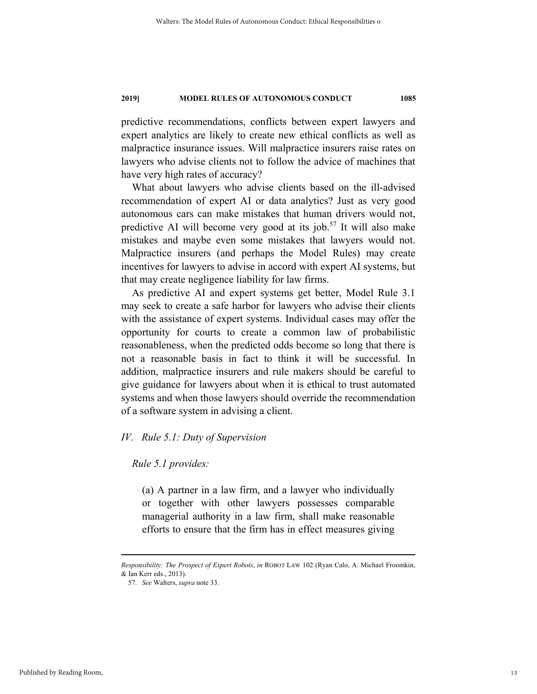predictive recommendations, conflicts between expert lawyers and expert analytics are likely to create new ethical conflicts as well as malpractice insurance issues. Will malpractice insurers raise rates on lawyers who advise clients not to follow the advice of machines that have very high rates of accuracy?

What about lawyers who advise clients based on the ill-advised recommendation of expert AI or data analytics? Just as very good autonomous cars can make mistakes that human drivers would not, predictive AI will become very good at its job.<sup>57</sup> It will also make mistakes and maybe even some mistakes that lawyers would not. Malpractice insurers (and perhaps the Model Rules) may create incentives for lawyers to advise in accord with expert AI systems, but that may create negligence liability for law firms.

As predictive AI and expert systems get better, Model Rule 3.1 may seek to create a safe harbor for lawyers who advise their clients with the assistance of expert systems. Individual cases may offer the opportunity for courts to create a common law of probabilistic reasonableness, when the predicted odds become so long that there is not a reasonable basis in fact to think it will be successful. In addition, malpractice insurers and rule makers should be careful to give guidance for lawyers about when it is ethical to trust automated systems and when those lawyers should override the recommendation of a software system in advising a client.

#### *IV. Rule 5.1: Duty of Supervision*

#### *Rule 5.1 provides:*

(a) A partner in a law firm, and a lawyer who individually or together with other lawyers possesses comparable managerial authority in a law firm, shall make reasonable efforts to ensure that the firm has in effect measures giving

1

*Responsibility: The Prospect of Expert Robots*, *in* ROBOT LAW 102 (Ryan Calo, A. Michael Froomkin, & Ian Kerr eds., 2013).

 <sup>57.</sup> *See* Walters, *supra* note 33.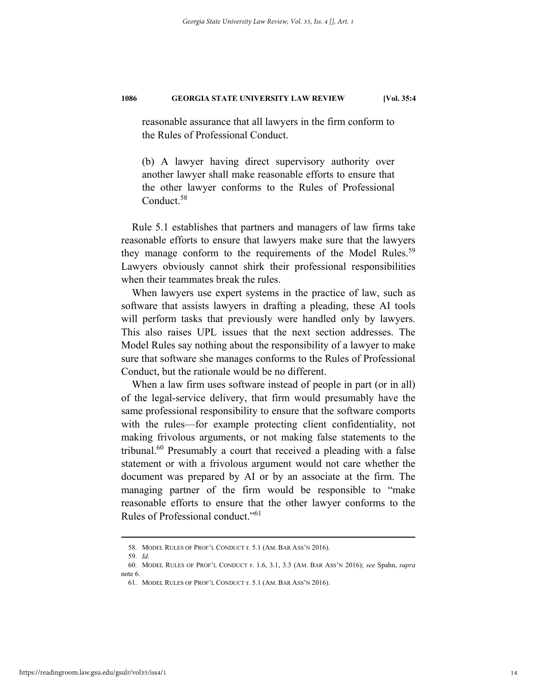reasonable assurance that all lawyers in the firm conform to the Rules of Professional Conduct.

(b) A lawyer having direct supervisory authority over another lawyer shall make reasonable efforts to ensure that the other lawyer conforms to the Rules of Professional Conduct.<sup>58</sup>

Rule 5.1 establishes that partners and managers of law firms take reasonable efforts to ensure that lawyers make sure that the lawyers they manage conform to the requirements of the Model Rules.<sup>59</sup> Lawyers obviously cannot shirk their professional responsibilities when their teammates break the rules.

When lawyers use expert systems in the practice of law, such as software that assists lawyers in drafting a pleading, these AI tools will perform tasks that previously were handled only by lawyers. This also raises UPL issues that the next section addresses. The Model Rules say nothing about the responsibility of a lawyer to make sure that software she manages conforms to the Rules of Professional Conduct, but the rationale would be no different.

When a law firm uses software instead of people in part (or in all) of the legal-service delivery, that firm would presumably have the same professional responsibility to ensure that the software comports with the rules—for example protecting client confidentiality, not making frivolous arguments, or not making false statements to the tribunal.<sup>60</sup> Presumably a court that received a pleading with a false statement or with a frivolous argument would not care whether the document was prepared by AI or by an associate at the firm. The managing partner of the firm would be responsible to "make reasonable efforts to ensure that the other lawyer conforms to the Rules of Professional conduct."61

 <sup>58.</sup> MODEL RULES OF PROF'L CONDUCT r. 5.1 (AM. BAR ASS'N 2016).

 <sup>59.</sup> *Id.*

 <sup>60.</sup> MODEL RULES OF PROF'L CONDUCT r. 1.6, 3.1, 3.3 (AM. BAR ASS'N 2016); *see* Spahn, *supra* note 6.

 <sup>61.</sup> MODEL RULES OF PROF'L CONDUCT r. 5.1 (AM. BAR ASS'N 2016).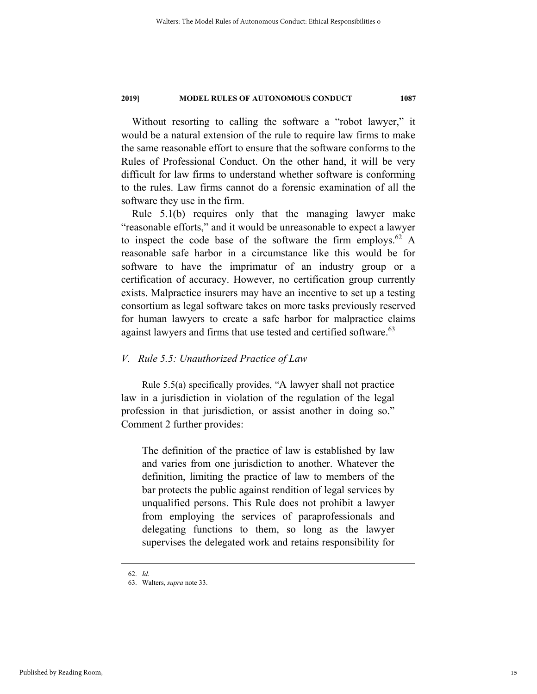Without resorting to calling the software a "robot lawyer," it would be a natural extension of the rule to require law firms to make the same reasonable effort to ensure that the software conforms to the Rules of Professional Conduct. On the other hand, it will be very difficult for law firms to understand whether software is conforming to the rules. Law firms cannot do a forensic examination of all the software they use in the firm.

Rule 5.1(b) requires only that the managing lawyer make "reasonable efforts," and it would be unreasonable to expect a lawyer to inspect the code base of the software the firm employs.<sup>62</sup> A reasonable safe harbor in a circumstance like this would be for software to have the imprimatur of an industry group or a certification of accuracy. However, no certification group currently exists. Malpractice insurers may have an incentive to set up a testing consortium as legal software takes on more tasks previously reserved for human lawyers to create a safe harbor for malpractice claims against lawyers and firms that use tested and certified software.<sup>63</sup>

#### *V. Rule 5.5: Unauthorized Practice of Law*

Rule 5.5(a) specifically provides, "A lawyer shall not practice law in a jurisdiction in violation of the regulation of the legal profession in that jurisdiction, or assist another in doing so." Comment 2 further provides:

The definition of the practice of law is established by law and varies from one jurisdiction to another. Whatever the definition, limiting the practice of law to members of the bar protects the public against rendition of legal services by unqualified persons. This Rule does not prohibit a lawyer from employing the services of paraprofessionals and delegating functions to them, so long as the lawyer supervises the delegated work and retains responsibility for

 <sup>62.</sup> *Id.*

 <sup>63.</sup> Walters, *supra* note 33.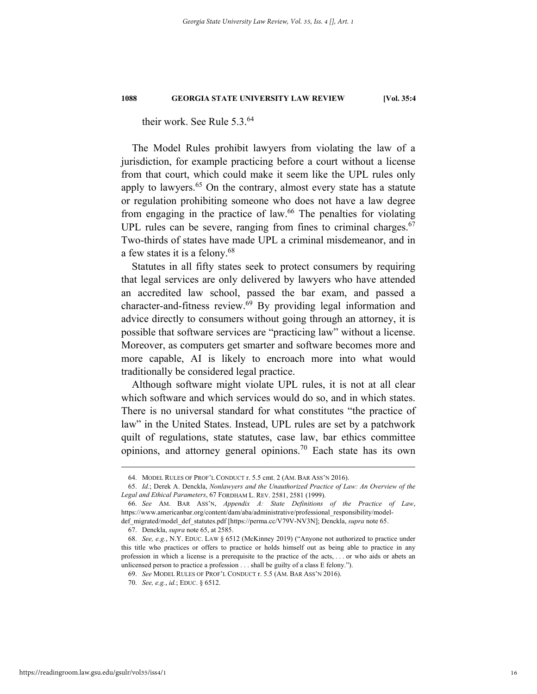their work. See Rule 5.3.<sup>64</sup>

The Model Rules prohibit lawyers from violating the law of a jurisdiction, for example practicing before a court without a license from that court, which could make it seem like the UPL rules only apply to lawyers. $65$  On the contrary, almost every state has a statute or regulation prohibiting someone who does not have a law degree from engaging in the practice of law.<sup>66</sup> The penalties for violating UPL rules can be severe, ranging from fines to criminal charges.<sup>67</sup> Two-thirds of states have made UPL a criminal misdemeanor, and in a few states it is a felony.68

Statutes in all fifty states seek to protect consumers by requiring that legal services are only delivered by lawyers who have attended an accredited law school, passed the bar exam, and passed a character-and-fitness review.69 By providing legal information and advice directly to consumers without going through an attorney, it is possible that software services are "practicing law" without a license. Moreover, as computers get smarter and software becomes more and more capable, AI is likely to encroach more into what would traditionally be considered legal practice.

Although software might violate UPL rules, it is not at all clear which software and which services would do so, and in which states. There is no universal standard for what constitutes "the practice of law" in the United States. Instead, UPL rules are set by a patchwork quilt of regulations, state statutes, case law, bar ethics committee opinions, and attorney general opinions.<sup>70</sup> Each state has its own

 <sup>64.</sup> MODEL RULES OF PROF'L CONDUCT r. 5.5 cmt. 2 (AM. BAR ASS'N 2016).

 <sup>65.</sup> *Id.*; Derek A. Denckla, *Nonlawyers and the Unauthorized Practice of Law: An Overview of the Legal and Ethical Parameters*, 67 FORDHAM L. REV. 2581, 2581 (1999).

 <sup>66.</sup> *See* AM. BAR ASS'N, *Appendix A: State Definitions of the Practice of Law*, https://www.americanbar.org/content/dam/aba/administrative/professional\_responsibility/model-

def\_migrated/model\_def\_statutes.pdf [https://perma.cc/V79V-NV3N]; Denckla, *supra* note 65.

 <sup>67.</sup> Denckla, *supra* note 65, at 2585.

 <sup>68.</sup> *See, e.g.*, N.Y. EDUC. LAW § 6512 (McKinney 2019) ("Anyone not authorized to practice under this title who practices or offers to practice or holds himself out as being able to practice in any profession in which a license is a prerequisite to the practice of the acts, . . . or who aids or abets an unlicensed person to practice a profession . . . shall be guilty of a class E felony.").

 <sup>69.</sup> *See* MODEL RULES OF PROF'L CONDUCT r. 5.5 (AM. BAR ASS'N 2016).

 <sup>70.</sup> *See, e.g.*, *id.*; EDUC. § 6512.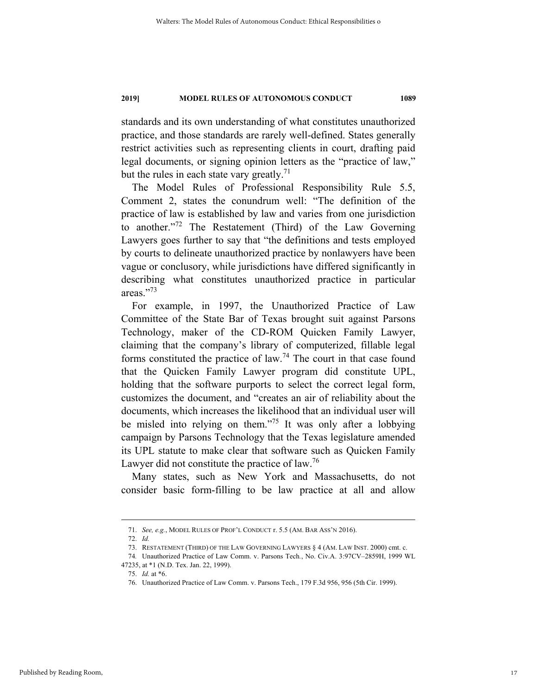standards and its own understanding of what constitutes unauthorized practice, and those standards are rarely well-defined. States generally restrict activities such as representing clients in court, drafting paid legal documents, or signing opinion letters as the "practice of law," but the rules in each state vary greatly.<sup>71</sup>

The Model Rules of Professional Responsibility Rule 5.5, Comment 2, states the conundrum well: "The definition of the practice of law is established by law and varies from one jurisdiction to another."72 The Restatement (Third) of the Law Governing Lawyers goes further to say that "the definitions and tests employed by courts to delineate unauthorized practice by nonlawyers have been vague or conclusory, while jurisdictions have differed significantly in describing what constitutes unauthorized practice in particular areas."73

For example, in 1997, the Unauthorized Practice of Law Committee of the State Bar of Texas brought suit against Parsons Technology, maker of the CD-ROM Quicken Family Lawyer, claiming that the company's library of computerized, fillable legal forms constituted the practice of law.<sup>74</sup> The court in that case found that the Quicken Family Lawyer program did constitute UPL, holding that the software purports to select the correct legal form, customizes the document, and "creates an air of reliability about the documents, which increases the likelihood that an individual user will be misled into relying on them."<sup>75</sup> It was only after a lobbying campaign by Parsons Technology that the Texas legislature amended its UPL statute to make clear that software such as Quicken Family Lawyer did not constitute the practice of law.<sup>76</sup>

Many states, such as New York and Massachusetts, do not consider basic form-filling to be law practice at all and allow

 <sup>71.</sup> *See, e.g.*, MODEL RULES OF PROF'L CONDUCT r. 5.5 (AM. BAR ASS'N 2016).

 <sup>72.</sup> *Id.*

 <sup>73.</sup> RESTATEMENT (THIRD) OF THE LAW GOVERNING LAWYERS § 4 (AM. LAW INST. 2000) cmt. c.

<sup>74</sup>*.* Unauthorized Practice of Law Comm. v. Parsons Tech*.*, No. Civ.A. 3:97CV–2859H, 1999 WL 47235, at \*1 (N.D. Tex. Jan. 22, 1999).

 <sup>75.</sup> *Id.* at \*6.

 <sup>76.</sup> Unauthorized Practice of Law Comm. v. Parsons Tech., 179 F.3d 956, 956 (5th Cir. 1999).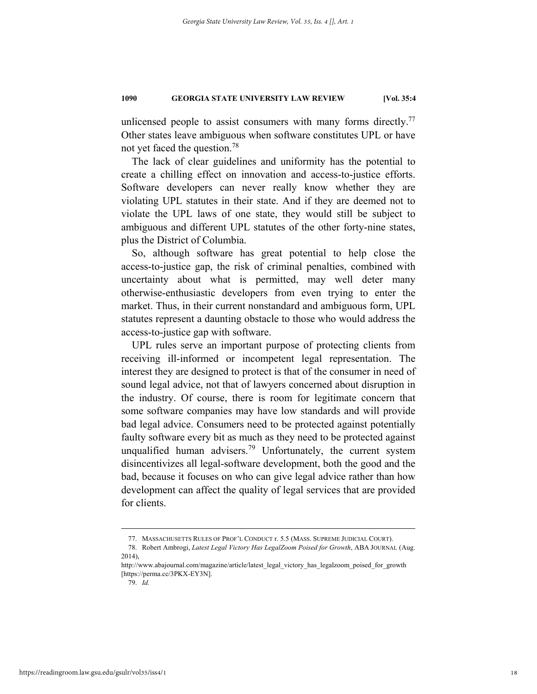unlicensed people to assist consumers with many forms directly.<sup>77</sup> Other states leave ambiguous when software constitutes UPL or have not yet faced the question.78

The lack of clear guidelines and uniformity has the potential to create a chilling effect on innovation and access-to-justice efforts. Software developers can never really know whether they are violating UPL statutes in their state. And if they are deemed not to violate the UPL laws of one state, they would still be subject to ambiguous and different UPL statutes of the other forty-nine states, plus the District of Columbia.

So, although software has great potential to help close the access-to-justice gap, the risk of criminal penalties, combined with uncertainty about what is permitted, may well deter many otherwise-enthusiastic developers from even trying to enter the market. Thus, in their current nonstandard and ambiguous form, UPL statutes represent a daunting obstacle to those who would address the access-to-justice gap with software.

UPL rules serve an important purpose of protecting clients from receiving ill-informed or incompetent legal representation. The interest they are designed to protect is that of the consumer in need of sound legal advice, not that of lawyers concerned about disruption in the industry. Of course, there is room for legitimate concern that some software companies may have low standards and will provide bad legal advice. Consumers need to be protected against potentially faulty software every bit as much as they need to be protected against unqualified human advisers.<sup>79</sup> Unfortunately, the current system disincentivizes all legal-software development, both the good and the bad, because it focuses on who can give legal advice rather than how development can affect the quality of legal services that are provided for clients.

 <sup>77.</sup> MASSACHUSETTS RULES OF PROF'L CONDUCT r. 5.5 (MASS. SUPREME JUDICIAL COURT).

 <sup>78.</sup> Robert Ambrogi, *Latest Legal Victory Has LegalZoom Poised for Growth*, ABA JOURNAL (Aug. 2014),

http://www.abajournal.com/magazine/article/latest\_legal\_victory\_has\_legalzoom\_poised\_for\_growth [https://perma.cc/3PKX-EY3N].

 <sup>79.</sup> *Id.*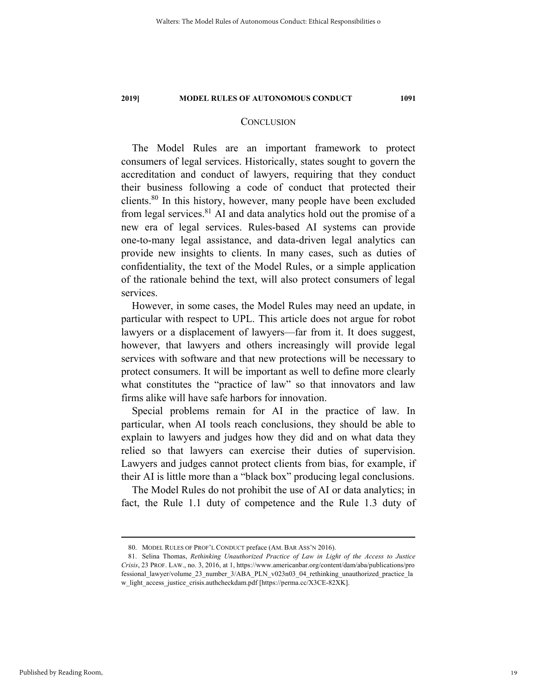#### **CONCLUSION**

The Model Rules are an important framework to protect consumers of legal services. Historically, states sought to govern the accreditation and conduct of lawyers, requiring that they conduct their business following a code of conduct that protected their clients.<sup>80</sup> In this history, however, many people have been excluded from legal services. $81$  AI and data analytics hold out the promise of a new era of legal services. Rules-based AI systems can provide one-to-many legal assistance, and data-driven legal analytics can provide new insights to clients. In many cases, such as duties of confidentiality, the text of the Model Rules, or a simple application of the rationale behind the text, will also protect consumers of legal services.

However, in some cases, the Model Rules may need an update, in particular with respect to UPL. This article does not argue for robot lawyers or a displacement of lawyers—far from it. It does suggest, however, that lawyers and others increasingly will provide legal services with software and that new protections will be necessary to protect consumers. It will be important as well to define more clearly what constitutes the "practice of law" so that innovators and law firms alike will have safe harbors for innovation.

Special problems remain for AI in the practice of law. In particular, when AI tools reach conclusions, they should be able to explain to lawyers and judges how they did and on what data they relied so that lawyers can exercise their duties of supervision. Lawyers and judges cannot protect clients from bias, for example, if their AI is little more than a "black box" producing legal conclusions.

The Model Rules do not prohibit the use of AI or data analytics; in fact, the Rule 1.1 duty of competence and the Rule 1.3 duty of

 <sup>80.</sup> MODEL RULES OF PROF'L CONDUCT preface (AM. BAR ASS'N 2016).

 <sup>81.</sup> Selina Thomas, *Rethinking Unauthorized Practice of Law in Light of the Access to Justice Crisis*, 23 PROF. LAW., no. 3, 2016, at 1, https://www.americanbar.org/content/dam/aba/publications/pro fessional\_lawyer/volume\_23\_number\_3/ABA\_PLN\_v023n03\_04\_rethinking\_unauthorized\_practice\_la w\_light\_access\_justice\_crisis.authcheckdam.pdf [https://perma.cc/X3CE-82XK].